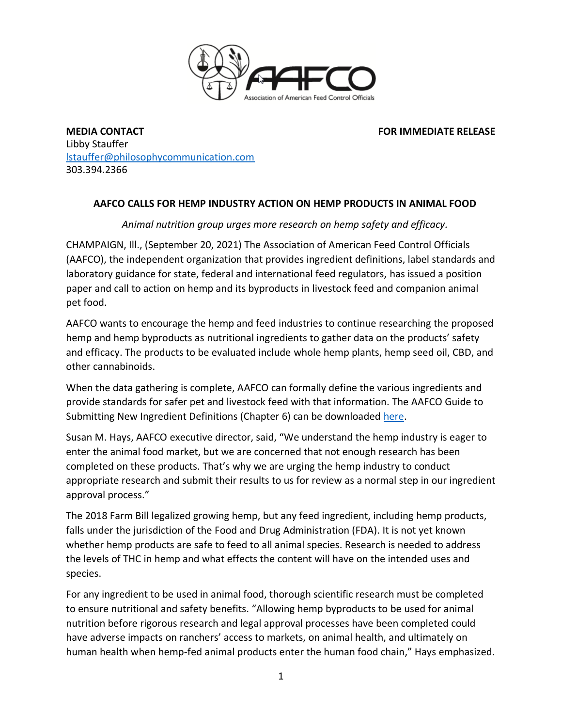

**MEDIA CONTACT FOR IMMEDIATE RELEASE** Libby Stauffer [lstauffer@philosophycommunication.com](mailto:lstauffer@philosophycommunication.com) 303.394.2366

## **AAFCO CALLS FOR HEMP INDUSTRY ACTION ON HEMP PRODUCTS IN ANIMAL FOOD**

## *Animal nutrition group urges more research on hemp safety and efficacy.*

CHAMPAIGN, Ill., (September 20, 2021) The Association of American Feed Control Officials (AAFCO), the independent organization that provides ingredient definitions, label standards and laboratory guidance for state, federal and international feed regulators, has issued a position paper and call to action on hemp and its byproducts in livestock feed and companion animal pet food.

AAFCO wants to encourage the hemp and feed industries to continue researching the proposed hemp and hemp byproducts as nutritional ingredients to gather data on the products' safety and efficacy. The products to be evaluated include whole hemp plants, hemp seed oil, CBD, and other cannabinoids.

When the data gathering is complete, AAFCO can formally define the various ingredients and provide standards for safer pet and livestock feed with that information. The AAFCO Guide to Submitting New Ingredient Definitions (Chapter 6) can be downloaded [here.](https://www.aafco.org/Portals/0/SiteContent/Regulatory/Committees/Ingredient-Definitions/Guide_to_Submitting_New_or_Modified_Ingredient_Definitions_to_AAFCO.pdf)

Susan M. Hays, AAFCO executive director, said, "We understand the hemp industry is eager to enter the animal food market, but we are concerned that not enough research has been completed on these products. That's why we are urging the hemp industry to conduct appropriate research and submit their results to us for review as a normal step in our ingredient approval process."

The 2018 Farm Bill legalized growing hemp, but any feed ingredient, including hemp products, falls under the jurisdiction of the Food and Drug Administration (FDA). It is not yet known whether hemp products are safe to feed to all animal species. Research is needed to address the levels of THC in hemp and what effects the content will have on the intended uses and species.

For any ingredient to be used in animal food, thorough scientific research must be completed to ensure nutritional and safety benefits. "Allowing hemp byproducts to be used for animal nutrition before rigorous research and legal approval processes have been completed could have adverse impacts on ranchers' access to markets, on animal health, and ultimately on human health when hemp-fed animal products enter the human food chain," Hays emphasized.